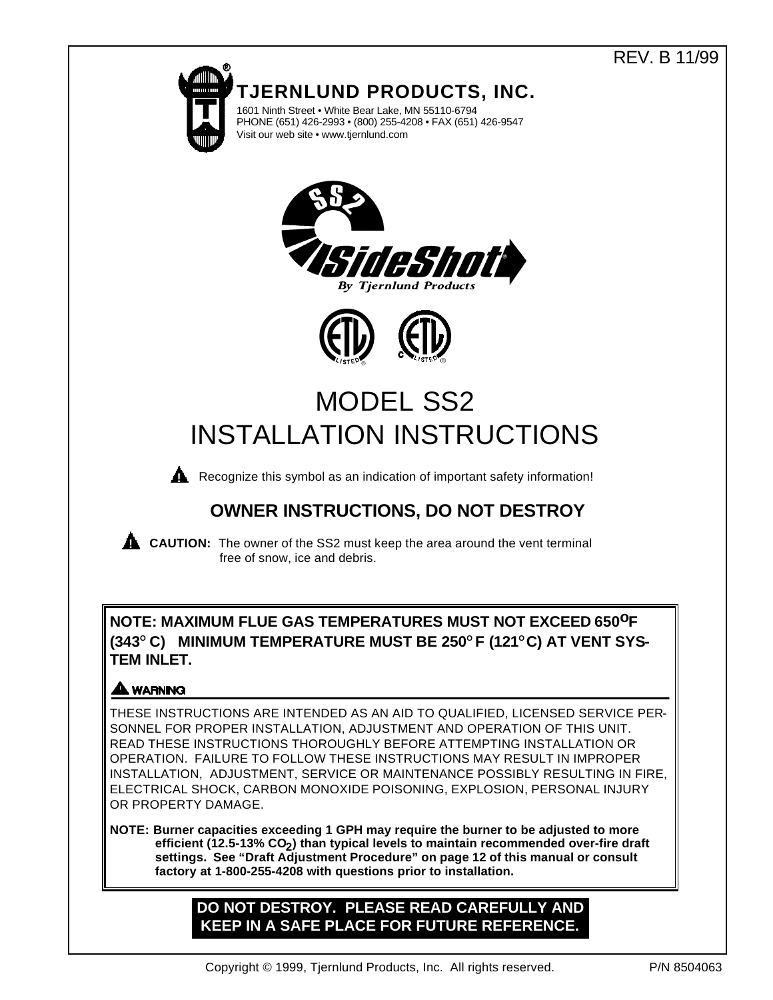# REV. B 11/99



# **OWNER INSTRUCTIONS, DO NOT DESTROY**

**CAUTION:** The owner of the SS2 must keep the area around the vent terminal free of snow, ice and debris.

**NOTE: MAXIMUM FLUE GAS TEMPERATURES MUST NOT EXCEED 650oF (343O C) MINIMUM TEMPERATURE MUST BE 250O F (121O C) AT VENT SYS-TEM INLET.** 

## **A WARNING**

THESE INSTRUCTIONS ARE INTENDED AS AN AID TO QUALIFIED, LICENSED SERVICE PER-SONNEL FOR PROPER INSTALLATION, ADJUSTMENT AND OPERATION OF THIS UNIT. READ THESE INSTRUCTIONS THOROUGHLY BEFORE ATTEMPTING INSTALLATION OR OPERATION. FAILURE TO FOLLOW THESE INSTRUCTIONS MAY RESULT IN IMPROPER INSTALLATION, ADJUSTMENT, SERVICE OR MAINTENANCE POSSIBLY RESULTING IN FIRE, ELECTRICAL SHOCK, CARBON MONOXIDE POISONING, EXPLOSION, PERSONAL INJURY OR PROPERTY DAMAGE.

**NOTE: Burner capacities exceeding 1 GPH may require the burner to be adjusted to more efficient (12.5-13% CO2 ) than typical levels to maintain recommended over-fire draft settings. See "Draft Adjustment Procedure" on page 12 of this manual or consult factory at 1-800-255-4208 with questions prior to installation.**

## **DO NOT DESTROY. PLEASE READ CAREFULLY AND KEEP IN A SAFE PLACE FOR FUTURE REFERENCE.**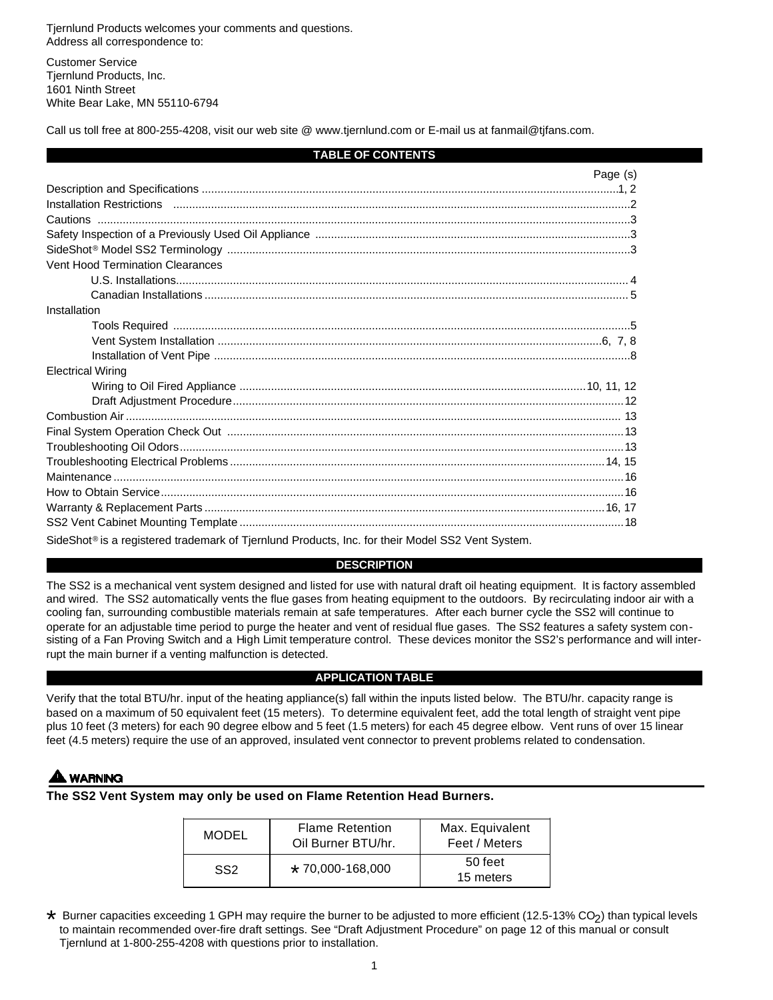Tjernlund Products welcomes your comments and questions. Address all correspondence to:

Customer Service Tjernlund Products, Inc. 1601 Ninth Street White Bear Lake, MN 55110-6794

Call us toll free at 800-255-4208, visit our web site @ www.tjernlund.com or E-mail us at fanmail@tjfans.com.

## **TABLE OF CONTENTS**

|                                                                                                              | Page (s) |
|--------------------------------------------------------------------------------------------------------------|----------|
|                                                                                                              |          |
|                                                                                                              |          |
|                                                                                                              |          |
|                                                                                                              |          |
|                                                                                                              |          |
| Vent Hood Termination Clearances                                                                             |          |
|                                                                                                              |          |
|                                                                                                              |          |
| Installation                                                                                                 |          |
|                                                                                                              |          |
|                                                                                                              |          |
|                                                                                                              |          |
| <b>Electrical Wiring</b>                                                                                     |          |
|                                                                                                              |          |
|                                                                                                              |          |
|                                                                                                              |          |
|                                                                                                              |          |
|                                                                                                              |          |
|                                                                                                              |          |
|                                                                                                              |          |
|                                                                                                              |          |
|                                                                                                              |          |
|                                                                                                              |          |
| SideShot <sup>®</sup> is a registered trademark of Tjernlund Products, Inc. for their Model SS2 Vent System. |          |

## **DESCRIPTION**

The SS2 is a mechanical vent system designed and listed for use with natural draft oil heating equipment. It is factory assembled and wired. The SS2 automatically vents the flue gases from heating equipment to the outdoors. By recirculating indoor air with a cooling fan, surrounding combustible materials remain at safe temperatures. After each burner cycle the SS2 will continue to operate for an adjustable time period to purge the heater and vent of residual flue gases. The SS2 features a safety system consisting of a Fan Proving Switch and a High Limit temperature control. These devices monitor the SS2's performance and will interrupt the main burner if a venting malfunction is detected.

## **APPLICATION TABLE**

Verify that the total BTU/hr. input of the heating appliance(s) fall within the inputs listed below. The BTU/hr. capacity range is based on a maximum of 50 equivalent feet (15 meters). To determine equivalent feet, add the total length of straight vent pipe plus 10 feet (3 meters) for each 90 degree elbow and 5 feet (1.5 meters) for each 45 degree elbow. Vent runs of over 15 linear feet (4.5 meters) require the use of an approved, insulated vent connector to prevent problems related to condensation.

## **NARNING**

**The SS2 Vent System may only be used on Flame Retention Head Burners.**

| MODEL           | <b>Flame Retention</b><br>Oil Burner BTU/hr. | Max. Equivalent<br>Feet / Meters |
|-----------------|----------------------------------------------|----------------------------------|
| SS <sub>2</sub> | $*$ 70.000-168.000                           | 50 feet<br>15 meters             |

\* Burner capacities exceeding 1 GPH may require the burner to be adjusted to more efficient (12.5-13% CO<sub>2</sub>) than typical levels<br>to maintain recommended over-fire draft settings. See "Draft Adjustment Procedure" on page 12 to maintain recommended over-fire draft settings. See "Draft Adjustment Procedure" on page 12 of this manual or consult Tjernlund at 1-800-255-4208 with questions prior to installation.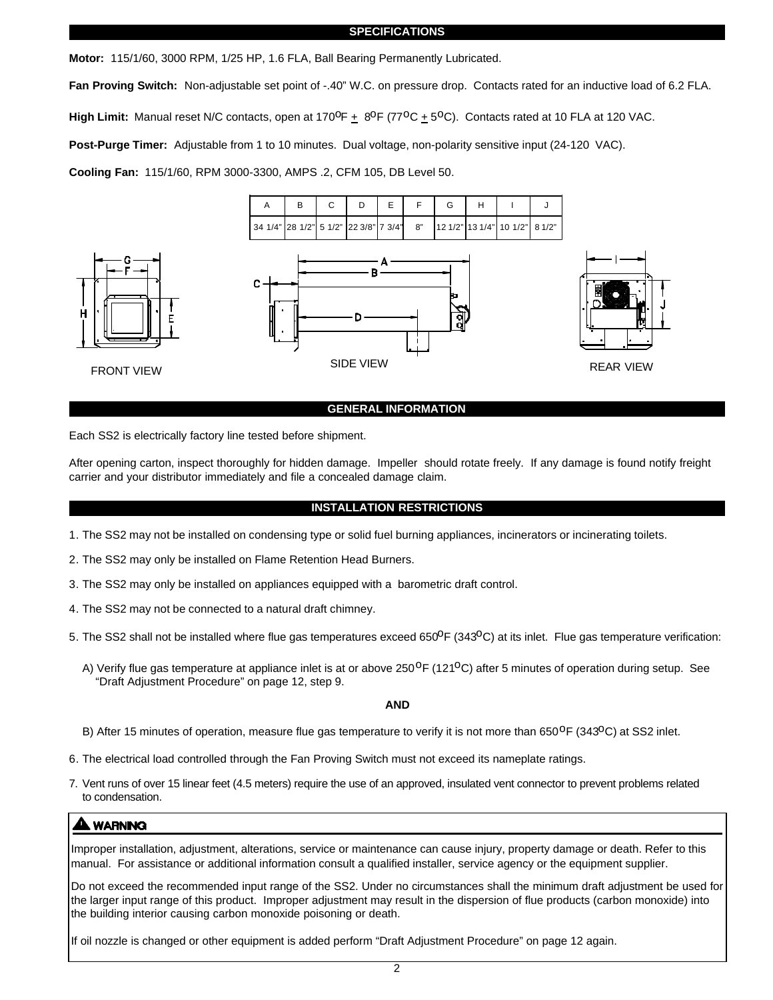#### **SPECIFICATIONS**

**Motor:** 115/1/60, 3000 RPM, 1/25 HP, 1.6 FLA, Ball Bearing Permanently Lubricated.

**Fan Proving Switch:** Non-adjustable set point of -.40" W.C. on pressure drop. Contacts rated for an inductive load of 6.2 FLA. High Limit: Manual reset N/C contacts, open at 170<sup>0</sup>F  $\pm$  8<sup>0</sup>F (77<sup>o</sup>C  $\pm$  5<sup>0</sup>C). Contacts rated at 10 FLA at 120 VAC.

**Post-Purge Timer:** Adjustable from 1 to 10 minutes. Dual voltage, non-polarity sensitive input (24-120 VAC).

**Cooling Fan:** 115/1/60, RPM 3000-3300, AMPS .2, CFM 105, DB Level 50.



#### **GENERAL INFORMATION**

Each SS2 is electrically factory line tested before shipment.

After opening carton, inspect thoroughly for hidden damage. Impeller should rotate freely. If any damage is found notify freight carrier and your distributor immediately and file a concealed damage claim.

## **INSTALLATION RESTRICTIONS**

- 1. The SS2 may not be installed on condensing type or solid fuel burning appliances, incinerators or incinerating toilets.
- 2. The SS2 may only be installed on Flame Retention Head Burners.
- 3. The SS2 may only be installed on appliances equipped with a barometric draft control.
- 4. The SS2 may not be connected to a natural draft chimney.
- 5. The SS2 shall not be installed where flue gas temperatures exceed 650 $P$  (343 $^{\circ}$ C) at its inlet. Flue gas temperature verification:
	- A) Verify flue gas temperature at appliance inlet is at or above 250<sup>o</sup>F (121<sup>o</sup>C) after 5 minutes of operation during setup. See "Draft Adjustment Procedure" on page 12, step 9.

**AND**

- B) After 15 minutes of operation, measure flue gas temperature to verify it is not more than 650<sup>o</sup>F (343<sup>o</sup>C) at SS2 inlet.
- 6. The electrical load controlled through the Fan Proving Switch must not exceed its nameplate ratings.
- 7. Vent runs of over 15 linear feet (4.5 meters) require the use of an approved, insulated vent connector to prevent problems related to condensation.

## **LWARNING**

Improper installation, adjustment, alterations, service or maintenance can cause injury, property damage or death. Refer to this manual. For assistance or additional information consult a qualified installer, service agency or the equipment supplier.

Do not exceed the recommended input range of the SS2. Under no circumstances shall the minimum draft adjustment be used for the larger input range of this product. Improper adjustment may result in the dispersion of flue products (carbon monoxide) into the building interior causing carbon monoxide poisoning or death.

If oil nozzle is changed or other equipment is added perform "Draft Adjustment Procedure" on page 12 again.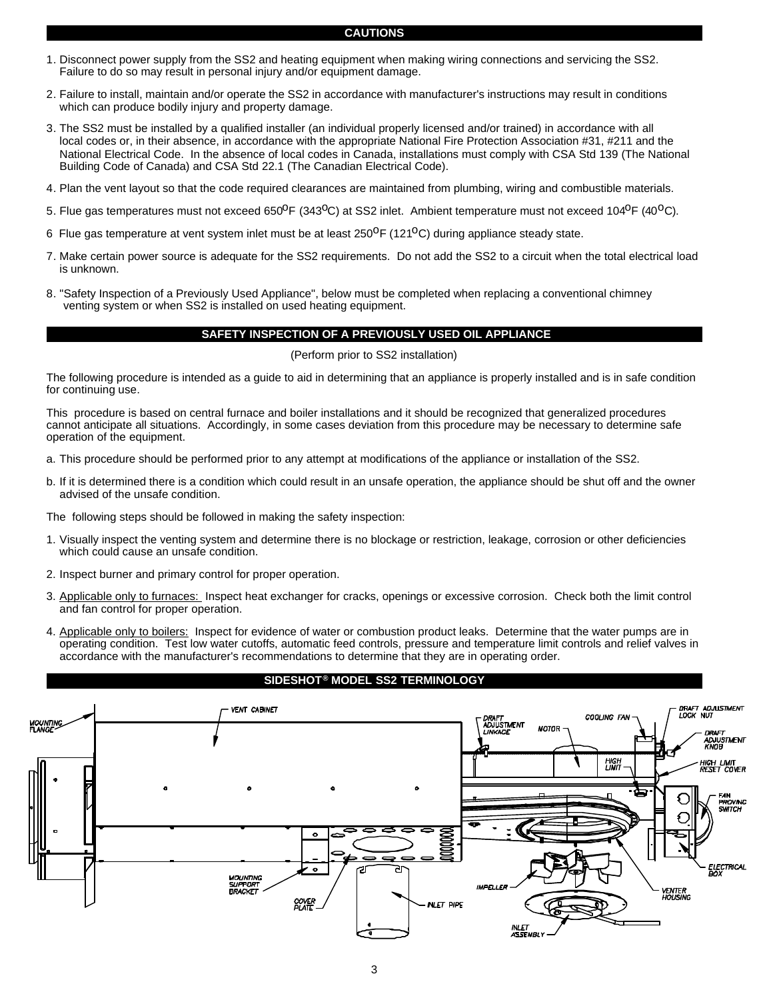## **CAUTIONS**

- 1. Disconnect power supply from the SS2 and heating equipment when making wiring connections and servicing the SS2. Failure to do so may result in personal injury and/or equipment damage.
- 2. Failure to install, maintain and/or operate the SS2 in accordance with manufacturer's instructions may result in conditions which can produce bodily injury and property damage.
- 3. The SS2 must be installed by a qualified installer (an individual properly licensed and/or trained) in accordance with all local codes or, in their absence, in accordance with the appropriate National Fire Protection Association #31, #211 and the National Electrical Code. In the absence of local codes in Canada, installations must comply with CSA Std 139 (The National Building Code of Canada) and CSA Std 22.1 (The Canadian Electrical Code).
- 4. Plan the vent layout so that the code required clearances are maintained from plumbing, wiring and combustible materials.
- 5. Flue gas temperatures must not exceed 650 $^{\circ}$ F (343 $^{\circ}$ C) at SS2 inlet. Ambient temperature must not exceed 104 $^{\circ}$ F (40 $^{\circ}$ C).
- 6 Flue gas temperature at vent system inlet must be at least  $250^{\circ}F(121^{\circ}C)$  during appliance steady state.
- 7. Make certain power source is adequate for the SS2 requirements. Do not add the SS2 to a circuit when the total electrical load is unknown.
- 8. "Safety Inspection of a Previously Used Appliance", below must be completed when replacing a conventional chimney venting system or when SS2 is installed on used heating equipment.

#### **SAFETY INSPECTION OF A PREVIOUSLY USED OIL APPLIANCE**

(Perform prior to SS2 installation)

The following procedure is intended as a guide to aid in determining that an appliance is properly installed and is in safe condition for continuing use.

This procedure is based on central furnace and boiler installations and it should be recognized that generalized procedures cannot anticipate all situations. Accordingly, in some cases deviation from this procedure may be necessary to determine safe operation of the equipment.

- a. This procedure should be performed prior to any attempt at modifications of the appliance or installation of the SS2.
- b. If it is determined there is a condition which could result in an unsafe operation, the appliance should be shut off and the owner advised of the unsafe condition.

The following steps should be followed in making the safety inspection:

- 1. Visually inspect the venting system and determine there is no blockage or restriction, leakage, corrosion or other deficiencies which could cause an unsafe condition.
- 2. Inspect burner and primary control for proper operation.
- 3. Applicable only to furnaces: Inspect heat exchanger for cracks, openings or excessive corrosion. Check both the limit control and fan control for proper operation.
- 4. Applicable only to boilers: Inspect for evidence of water or combustion product leaks. Determine that the water pumps are in operating condition. Test low water cutoffs, automatic feed controls, pressure and temperature limit controls and relief valves in accordance with the manufacturer's recommendations to determine that they are in operating order.

## **SIDESHOT® MODEL SS2 TERMINOLOGY**

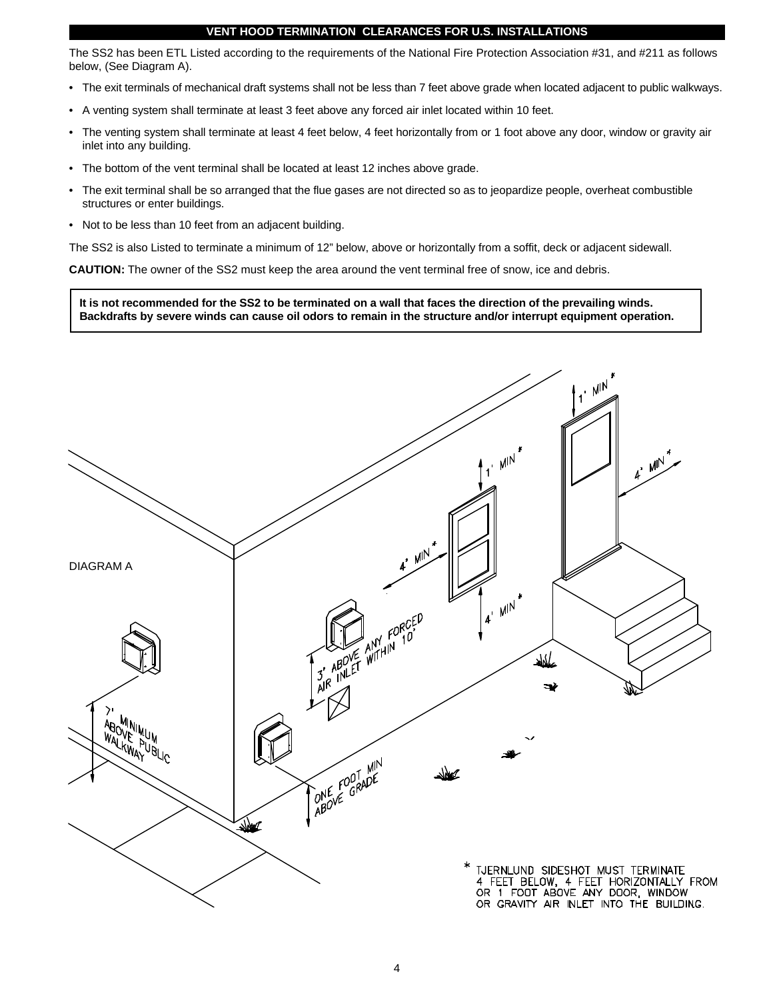## **VENT HOOD TERMINATION CLEARANCES FOR U.S. INSTALLATIONS**

The SS2 has been ETL Listed according to the requirements of the National Fire Protection Association #31, and #211 as follows below, (See Diagram A).

- The exit terminals of mechanical draft systems shall not be less than 7 feet above grade when located adjacent to public walkways.
- A venting system shall terminate at least 3 feet above any forced air inlet located within 10 feet.
- The venting system shall terminate at least 4 feet below, 4 feet horizontally from or 1 foot above any door, window or gravity air inlet into any building.
- The bottom of the vent terminal shall be located at least 12 inches above grade.
- The exit terminal shall be so arranged that the flue gases are not directed so as to jeopardize people, overheat combustible structures or enter buildings.
- Not to be less than 10 feet from an adjacent building.

The SS2 is also Listed to terminate a minimum of 12" below, above or horizontally from a soffit, deck or adjacent sidewall.

**CAUTION:** The owner of the SS2 must keep the area around the vent terminal free of snow, ice and debris.

**It is not recommended for the SS2 to be terminated on a wall that faces the direction of the prevailing winds. Backdrafts by severe winds can cause oil odors to remain in the structure and/or interrupt equipment operation.**

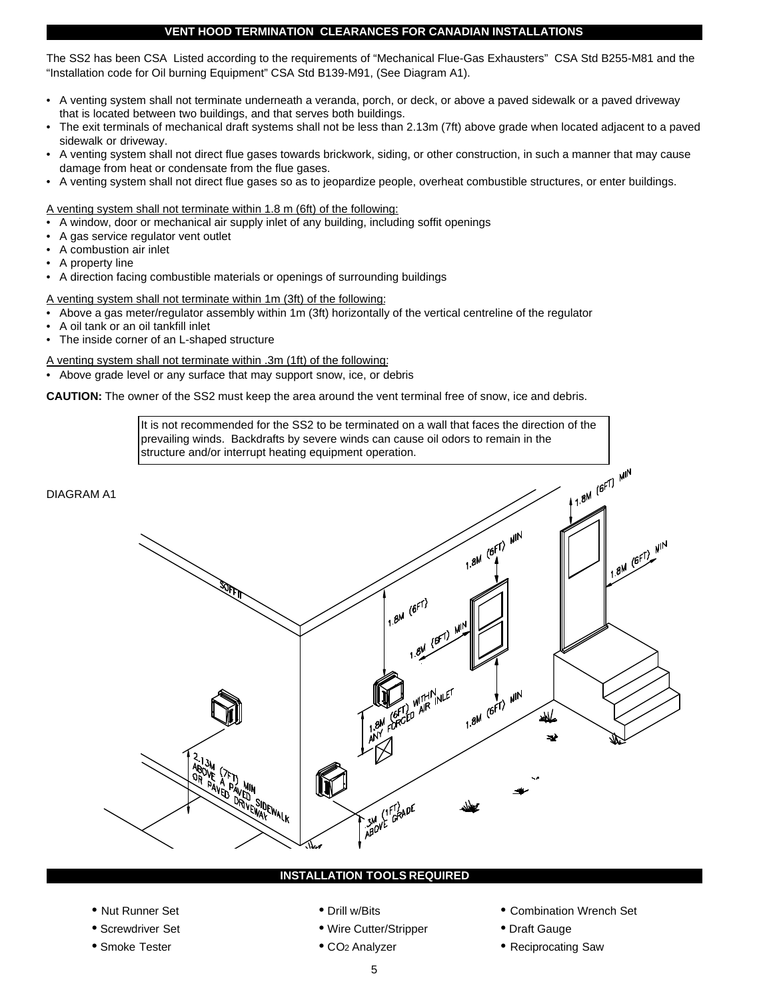## **VENT HOOD TERMINATION CLEARANCES FOR CANADIAN INSTALLATIONS**

The SS2 has been CSA Listed according to the requirements of "Mechanical Flue-Gas Exhausters" CSA Std B255-M81 and the "Installation code for Oil burning Equipment" CSA Std B139-M91, (See Diagram A1).

- A venting system shall not terminate underneath a veranda, porch, or deck, or above a paved sidewalk or a paved driveway that is located between two buildings, and that serves both buildings.
- The exit terminals of mechanical draft systems shall not be less than 2.13m (7ft) above grade when located adjacent to a paved sidewalk or driveway.
- A venting system shall not direct flue gases towards brickwork, siding, or other construction, in such a manner that may cause damage from heat or condensate from the flue gases.
- A venting system shall not direct flue gases so as to jeopardize people, overheat combustible structures, or enter buildings.

A venting system shall not terminate within 1.8 m (6ft) of the following:

- A window, door or mechanical air supply inlet of any building, including soffit openings
- A gas service regulator vent outlet
- A combustion air inlet
- A property line
- A direction facing combustible materials or openings of surrounding buildings

A venting system shall not terminate within 1m (3ft) of the following:

- Above a gas meter/regulator assembly within 1m (3ft) horizontally of the vertical centreline of the regulator
- A oil tank or an oil tankfill inlet
- The inside corner of an L-shaped structure

A venting system shall not terminate within .3m (1ft) of the following:

• Above grade level or any surface that may support snow, ice, or debris

**CAUTION:** The owner of the SS2 must keep the area around the vent terminal free of snow, ice and debris.

It is not recommended for the SS2 to be terminated on a wall that faces the direction of the prevailing winds. Backdrafts by severe winds can cause oil odors to remain in the structure and/or interrupt heating equipment operation.



## **INSTALLATION TOOLS REQUIRED**

- 
- 
- 
- 
- Screwdriver Set • Wire Cutter/Stripper • Draft Gauge
	-
- Nut Runner Set Combination Wrench Set Combination Wrench Set
	-
- Smoke Tester CO2 Analyzer  **Reciprocating Saw**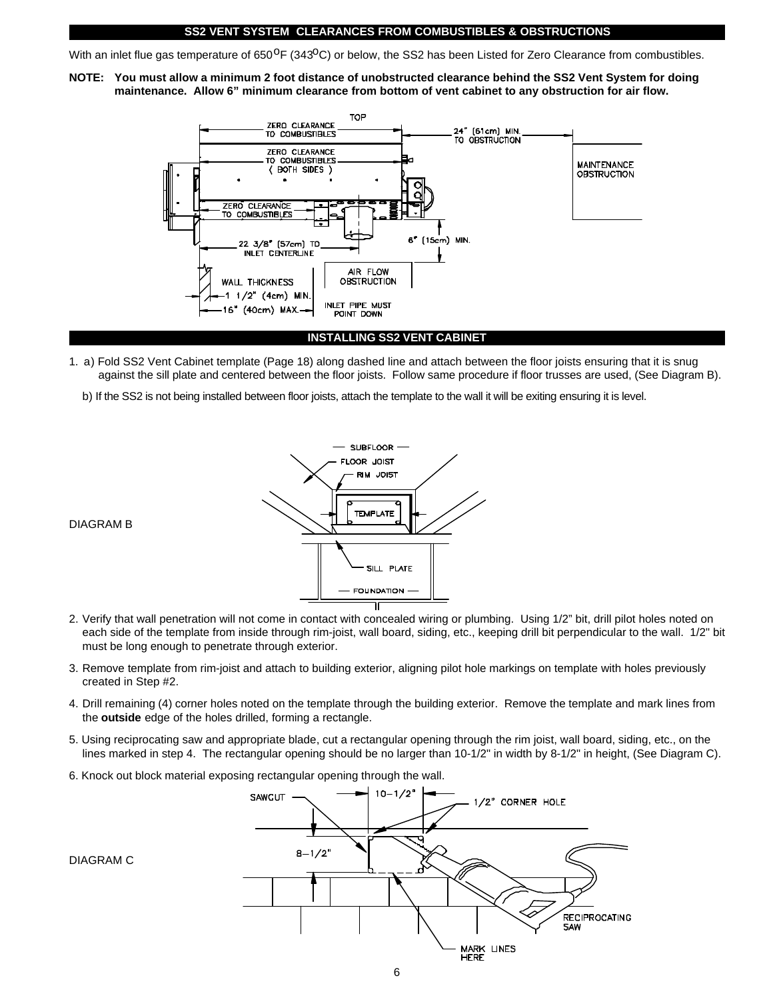## **SS2 VENT SYSTEM CLEARANCES FROM COMBUSTIBLES & OBSTRUCTIONS**

With an inlet flue gas temperature of 650<sup>o</sup>F (343<sup>o</sup>C) or below, the SS2 has been Listed for Zero Clearance from combustibles.

**NOTE: You must allow a minimum 2 foot distance of unobstructed clearance behind the SS2 Vent System for doing maintenance. Allow 6" minimum clearance from bottom of vent cabinet to any obstruction for air flow.** 



## **INSTALLING SS2 VENT CABINET**

- 1. a) Fold SS2 Vent Cabinet template (Page 18) along dashed line and attach between the floor joists ensuring that it is snug against the sill plate and centered between the floor joists. Follow same procedure if floor trusses are used, (See Diagram B).
	- b) If the SS2 is not being installed between floor joists, attach the template to the wall it will be exiting ensuring it is level.



- 2. Verify that wall penetration will not come in contact with concealed wiring or plumbing. Using 1/2" bit, drill pilot holes noted on each side of the template from inside through rim-joist, wall board, siding, etc., keeping drill bit perpendicular to the wall. 1/2" bit must be long enough to penetrate through exterior.
- 3. Remove template from rim-joist and attach to building exterior, aligning pilot hole markings on template with holes previously created in Step #2.
- 4. Drill remaining (4) corner holes noted on the template through the building exterior. Remove the template and mark lines from the **outside** edge of the holes drilled, forming a rectangle.
- 5. Using reciprocating saw and appropriate blade, cut a rectangular opening through the rim joist, wall board, siding, etc., on the lines marked in step 4. The rectangular opening should be no larger than 10-1/2" in width by 8-1/2" in height, (See Diagram C).
- 6. Knock out block material exposing rectangular opening through the wall.



#### DIAGRAM B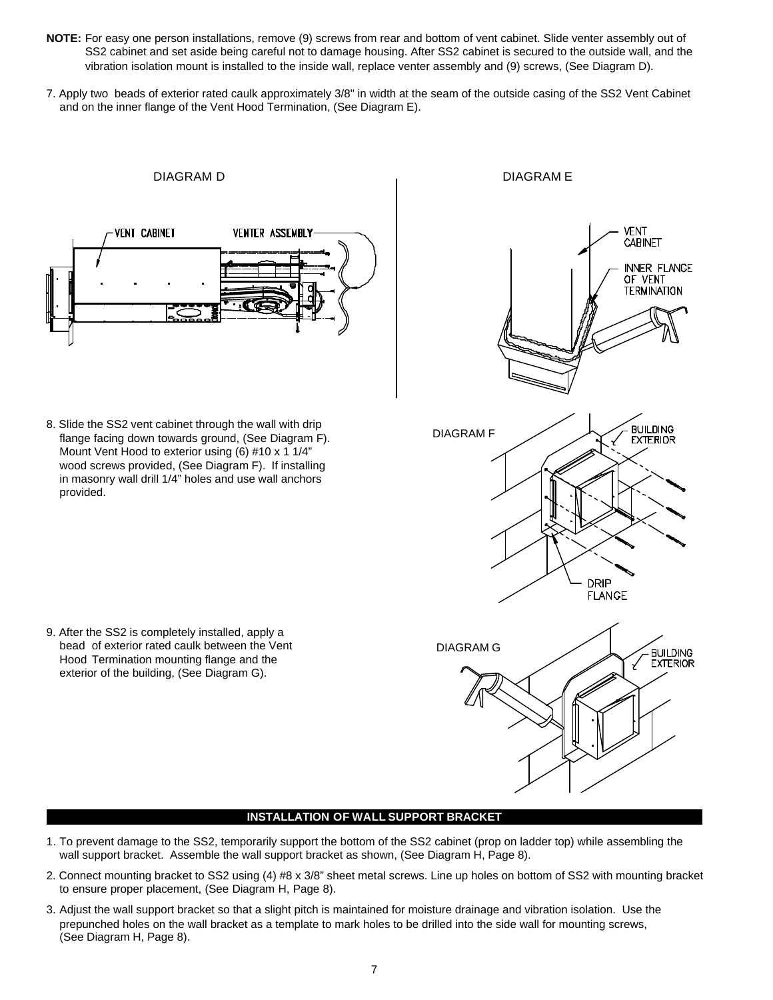- **NOTE:** For easy one person installations, remove (9) screws from rear and bottom of vent cabinet. Slide venter assembly out of SS2 cabinet and set aside being careful not to damage housing. After SS2 cabinet is secured to the outside wall, and the vibration isolation mount is installed to the inside wall, replace venter assembly and (9) screws, (See Diagram D).
- 7. Apply two beads of exterior rated caulk approximately 3/8" in width at the seam of the outside casing of the SS2 Vent Cabinet and on the inner flange of the Vent Hood Termination, (See Diagram E).



8. Slide the SS2 vent cabinet through the wall with drip flange facing down towards ground, (See Diagram F). Mount Vent Hood to exterior using (6) #10 x 1 1/4" wood screws provided, (See Diagram F). If installing in masonry wall drill 1/4" holes and use wall anchors provided.



# exterior of the building, (See Diagram G).

9. After the SS2 is completely installed, apply a bead of exterior rated caulk between the Vent Hood Termination mounting flange and the

## **INSTALLATION OF WALL SUPPORT BRACKET**

- 1. To prevent damage to the SS2, temporarily support the bottom of the SS2 cabinet (prop on ladder top) while assembling the wall support bracket. Assemble the wall support bracket as shown, (See Diagram H, Page 8).
- 2. Connect mounting bracket to SS2 using (4) #8 x 3/8" sheet metal screws. Line up holes on bottom of SS2 with mounting bracket to ensure proper placement, (See Diagram H, Page 8).
- 3. Adjust the wall support bracket so that a slight pitch is maintained for moisture drainage and vibration isolation. Use the prepunched holes on the wall bracket as a template to mark holes to be drilled into the side wall for mounting screws, (See Diagram H, Page 8).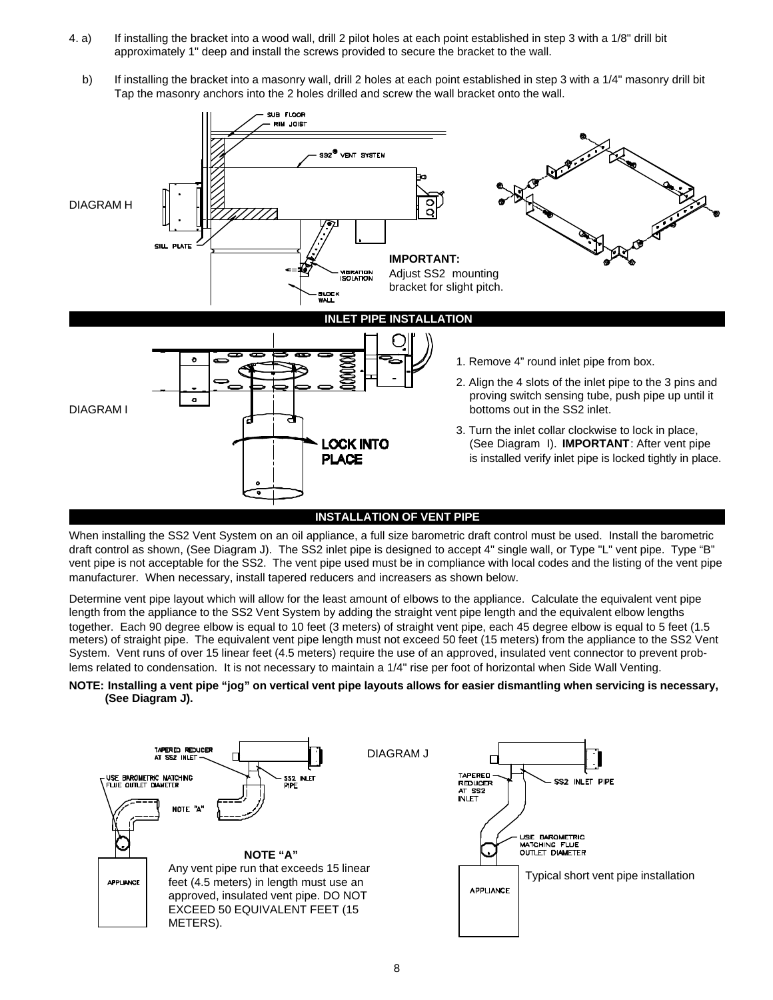- 4. a) If installing the bracket into a wood wall, drill 2 pilot holes at each point established in step 3 with a 1/8" drill bit approximately 1" deep and install the screws provided to secure the bracket to the wall.
	- b) If installing the bracket into a masonry wall, drill 2 holes at each point established in step 3 with a 1/4" masonry drill bit Tap the masonry anchors into the 2 holes drilled and screw the wall bracket onto the wall.



When installing the SS2 Vent System on an oil appliance, a full size barometric draft control must be used. Install the barometric draft control as shown, (See Diagram J). The SS2 inlet pipe is designed to accept 4" single wall, or Type "L" vent pipe. Type "B" vent pipe is not acceptable for the SS2. The vent pipe used must be in compliance with local codes and the listing of the vent pipe manufacturer. When necessary, install tapered reducers and increasers as shown below.

Determine vent pipe layout which will allow for the least amount of elbows to the appliance. Calculate the equivalent vent pipe length from the appliance to the SS2 Vent System by adding the straight vent pipe length and the equivalent elbow lengths together. Each 90 degree elbow is equal to 10 feet (3 meters) of straight vent pipe, each 45 degree elbow is equal to 5 feet (1.5 meters) of straight pipe. The equivalent vent pipe length must not exceed 50 feet (15 meters) from the appliance to the SS2 Vent System. Vent runs of over 15 linear feet (4.5 meters) require the use of an approved, insulated vent connector to prevent problems related to condensation. It is not necessary to maintain a 1/4" rise per foot of horizontal when Side Wall Venting.

## **NOTE: Installing a vent pipe "jog" on vertical vent pipe layouts allows for easier dismantling when servicing is necessary, (See Diagram J).**

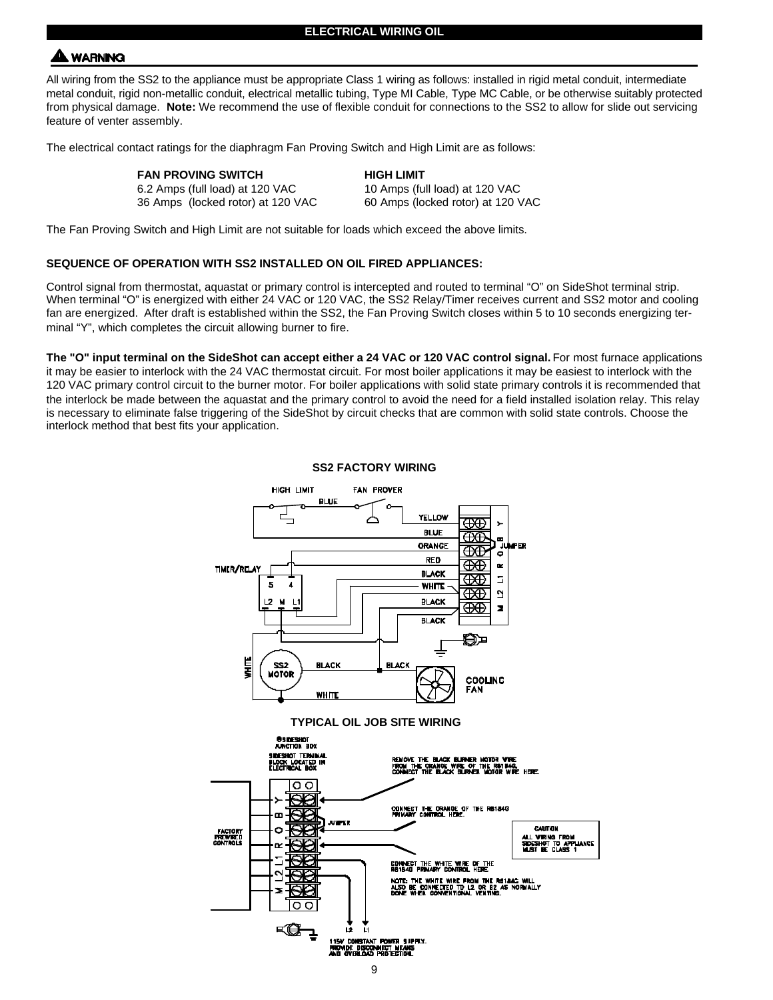## **A WARNING**

All wiring from the SS2 to the appliance must be appropriate Class 1 wiring as follows: installed in rigid metal conduit, intermediate metal conduit, rigid non-metallic conduit, electrical metallic tubing, Type MI Cable, Type MC Cable, or be otherwise suitably protected from physical damage. **Note:** We recommend the use of flexible conduit for connections to the SS2 to allow for slide out servicing feature of venter assembly.

The electrical contact ratings for the diaphragm Fan Proving Switch and High Limit are as follows:

| FAN PROVING SWITCH |  |
|--------------------|--|
|--------------------|--|

**HIGH LIMIT** 6.2 Amps (full load) at 120 VAC 10 Amps (full load) at 120 VAC 36 Amps (locked rotor) at 120 VAC 60 Amps (locked rotor) at 120 VAC

The Fan Proving Switch and High Limit are not suitable for loads which exceed the above limits.

## **SEQUENCE OF OPERATION WITH SS2 INSTALLED ON OIL FIRED APPLIANCES:**

Control signal from thermostat, aquastat or primary control is intercepted and routed to terminal "O" on SideShot terminal strip. When terminal "O" is energized with either 24 VAC or 120 VAC, the SS2 Relay/Timer receives current and SS2 motor and cooling fan are energized. After draft is established within the SS2, the Fan Proving Switch closes within 5 to 10 seconds energizing terminal "Y", which completes the circuit allowing burner to fire.

The "O" input terminal on the SideShot can accept either a 24 VAC or 120 VAC control signal. For most furnace applications it may be easier to interlock with the 24 VAC thermostat circuit. For most boiler applications it may be easiest to interlock with the 120 VAC primary control circuit to the burner motor. For boiler applications with solid state primary controls it is recommended that the interlock be made between the aquastat and the primary control to avoid the need for a field installed isolation relay. This relay is necessary to eliminate false triggering of the SideShot by circuit checks that are common with solid state controls. Choose the interlock method that best fits your application.



**SS2 FACTORY WIRING**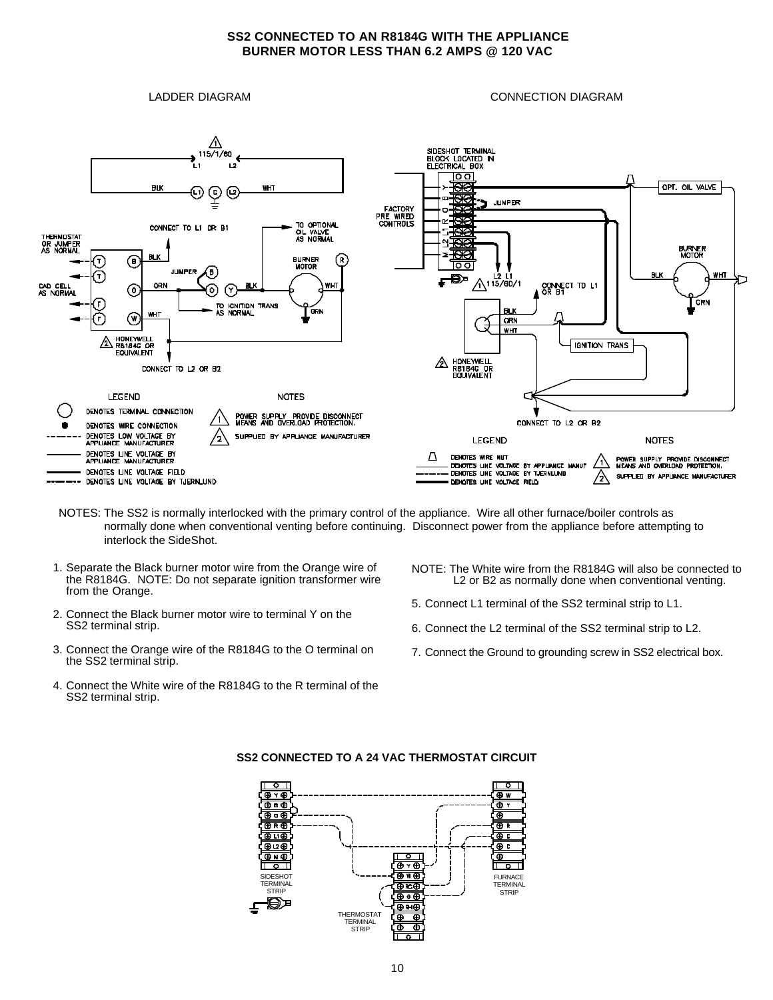## **SS2 CONNECTED TO AN R8184G WITH THE APPLIANCE BURNER MOTOR LESS THAN 6.2 AMPS @ 120 VAC**

LADDER DIAGRAM CONNECTION DIAGRAM



- NOTES: The SS2 is normally interlocked with the primary control of the appliance. Wire all other furnace/boiler controls as normally done when conventional venting before continuing. Disconnect power from the appliance before attempting to interlock the SideShot.
- 1. Separate the Black burner motor wire from the Orange wire of the R8184G. NOTE: Do not separate ignition transformer wire from the Orange.
- 2. Connect the Black burner motor wire to terminal Y on the SS2 terminal strip.
- 3. Connect the Orange wire of the R8184G to the O terminal on the SS2 terminal strip.
- 4. Connect the White wire of the R8184G to the R terminal of the SS2 terminal strip.
- NOTE: The White wire from the R8184G will also be connected to L2 or B2 as normally done when conventional venting.
- 5. Connect L1 terminal of the SS2 terminal strip to L1.
- 6. Connect the L2 terminal of the SS2 terminal strip to L2.
- 7. Connect the Ground to grounding screw in SS2 electrical box.



## **SS2 CONNECTED TO A 24 VAC THERMOSTAT CIRCUIT**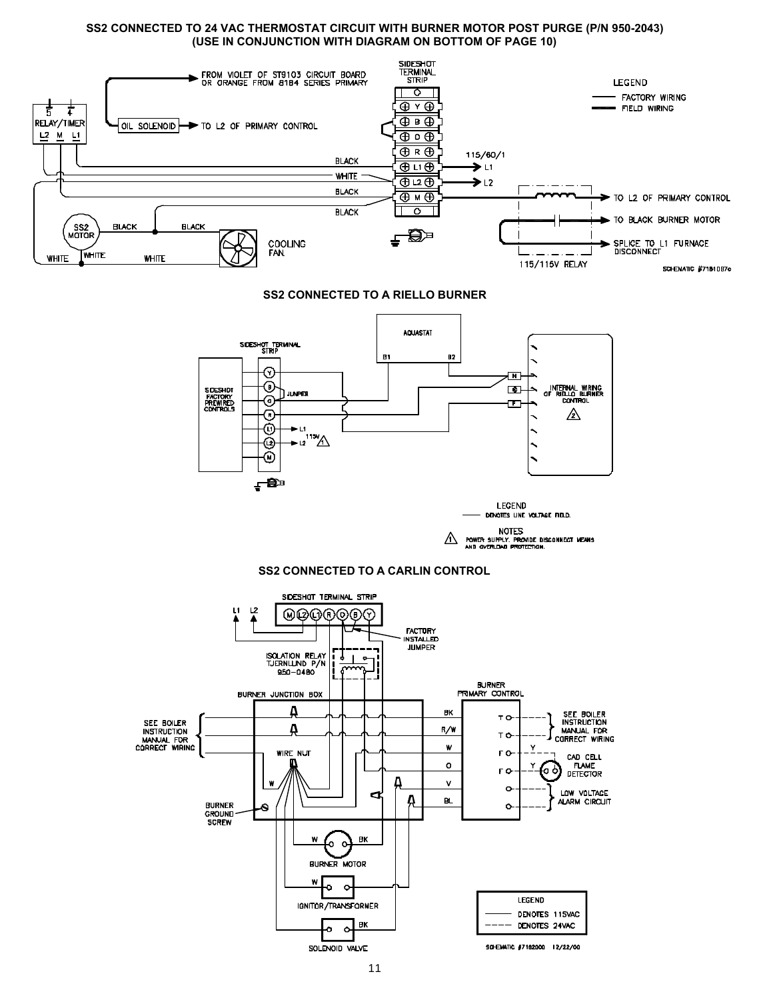## **SS2 CONNECTED TO 24 VAC THERMOSTAT CIRCUIT WITH BURNER MOTOR POST PURGE (P/N 950-2043) (USE IN CONJUNCTION WITH DIAGRAM ON BOTTOM OF PAGE 10)**

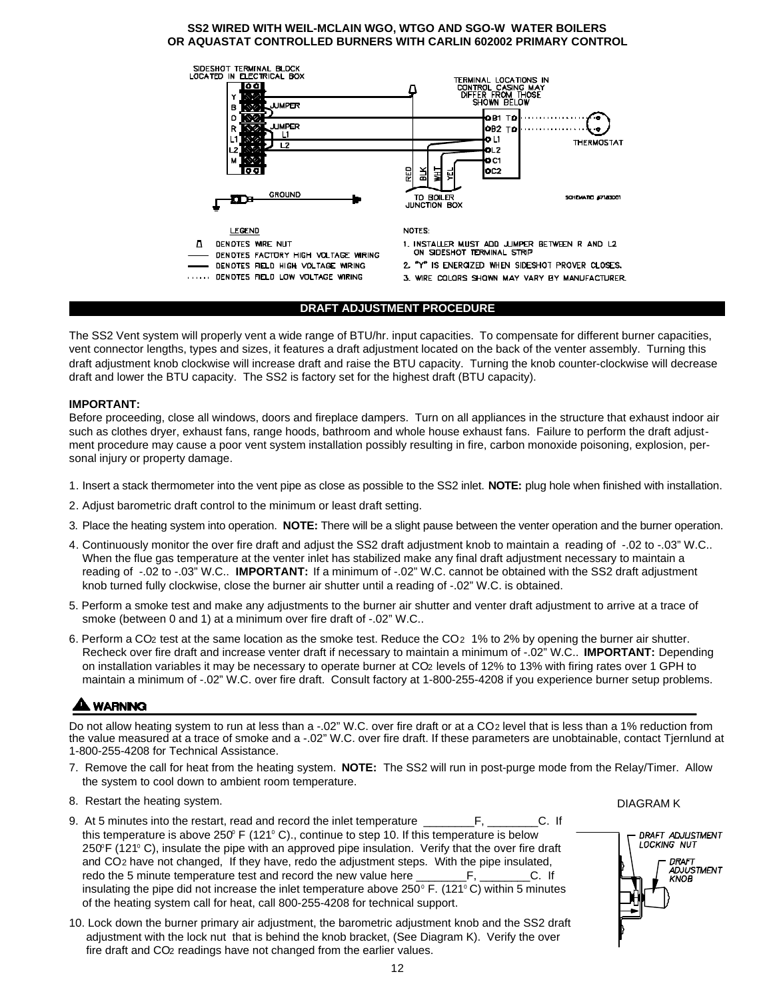## **SS2 WIRED WITH WEIL-MCLAIN WGO, WTGO AND SGO-W WATER BOILERS OR AQUASTAT CONTROLLED BURNERS WITH CARLIN 602002 PRIMARY CONTROL**



## **DRAFT ADJUSTMENT PROCEDURE**

The SS2 Vent system will properly vent a wide range of BTU/hr. input capacities. To compensate for different burner capacities, vent connector lengths, types and sizes, it features a draft adjustment located on the back of the venter assembly. Turning this draft adjustment knob clockwise will increase draft and raise the BTU capacity. Turning the knob counter-clockwise will decrease draft and lower the BTU capacity. The SS2 is factory set for the highest draft (BTU capacity).

## **IMPORTANT:**

Before proceeding, close all windows, doors and fireplace dampers. Turn on all appliances in the structure that exhaust indoor air such as clothes dryer, exhaust fans, range hoods, bathroom and whole house exhaust fans. Failure to perform the draft adjustment procedure may cause a poor vent system installation possibly resulting in fire, carbon monoxide poisoning, explosion, personal injury or property damage.

- 1. Insert a stack thermometer into the vent pipe as close as possible to the SS2 inlet. **NOTE:** plug hole when finished with installation.
- 2. Adjust barometric draft control to the minimum or least draft setting.
- 3. Place the heating system into operation. **NOTE:** There will be a slight pause between the venter operation and the burner operation.
- 4. Continuously monitor the over fire draft and adjust the SS2 draft adjustment knob to maintain a reading of -.02 to -.03" W.C.. When the flue gas temperature at the venter inlet has stabilized make any final draft adjustment necessary to maintain a reading of -.02 to -.03" W.C.. **IMPORTANT:** If a minimum of -.02" W.C. cannot be obtained with the SS2 draft adjustment knob turned fully clockwise, close the burner air shutter until a reading of -.02" W.C. is obtained.
- 5. Perform a smoke test and make any adjustments to the burner air shutter and venter draft adjustment to arrive at a trace of smoke (between 0 and 1) at a minimum over fire draft of -.02" W.C..
- 6. Perform a CO2 test at the same location as the smoke test. Reduce the CO2 1% to 2% by opening the burner air shutter. Recheck over fire draft and increase venter draft if necessary to maintain a minimum of -.02" W.C.. **IMPORTANT:** Depending on installation variables it may be necessary to operate burner at CO2 levels of 12% to 13% with firing rates over 1 GPH to maintain a minimum of -.02" W.C. over fire draft. Consult factory at 1-800-255-4208 if you experience burner setup problems.

## **A WARNING**

Do not allow heating system to run at less than a -.02" W.C. over fire draft or at a CO2 level that is less than a 1% reduction from the value measured at a trace of smoke and a -.02" W.C. over fire draft. If these parameters are unobtainable, contact Tjernlund at 1-800-255-4208 for Technical Assistance.

- 7. Remove the call for heat from the heating system. **NOTE:** The SS2 will run in post-purge mode from the Relay/Timer. Allow the system to cool down to ambient room temperature.
- 8. Restart the heating system.
- 9. At 5 minutes into the restart, read and record the inlet temperature \_\_\_\_\_\_\_\_\_\_\_\_\_\_\_\_\_\_\_\_\_\_\_\_\_\_\_C. If this temperature is above 250 $\degree$  F (121 $\degree$  C)., continue to step 10. If this temperature is below 250°F (121°C), insulate the pipe with an approved pipe insulation. Verify that the over fire draft and CO2 have not changed, If they have, redo the adjustment steps. With the pipe insulated, redo the 5 minute temperature test and record the new value here \_\_\_\_\_\_\_\_\_\_\_\_\_\_\_\_\_\_\_\_\_\_\_\_\_\_\_\_C. If insulating the pipe did not increase the inlet temperature above  $250^{\circ}$  F. (121 $^{\circ}$ C) within 5 minutes of the heating system call for heat, call 800-255-4208 for technical support.
- 10. Lock down the burner primary air adjustment, the barometric adjustment knob and the SS2 draft adjustment with the lock nut that is behind the knob bracket, (See Diagram K). Verify the over fire draft and CO2 readings have not changed from the earlier values.

DIAGRAM K

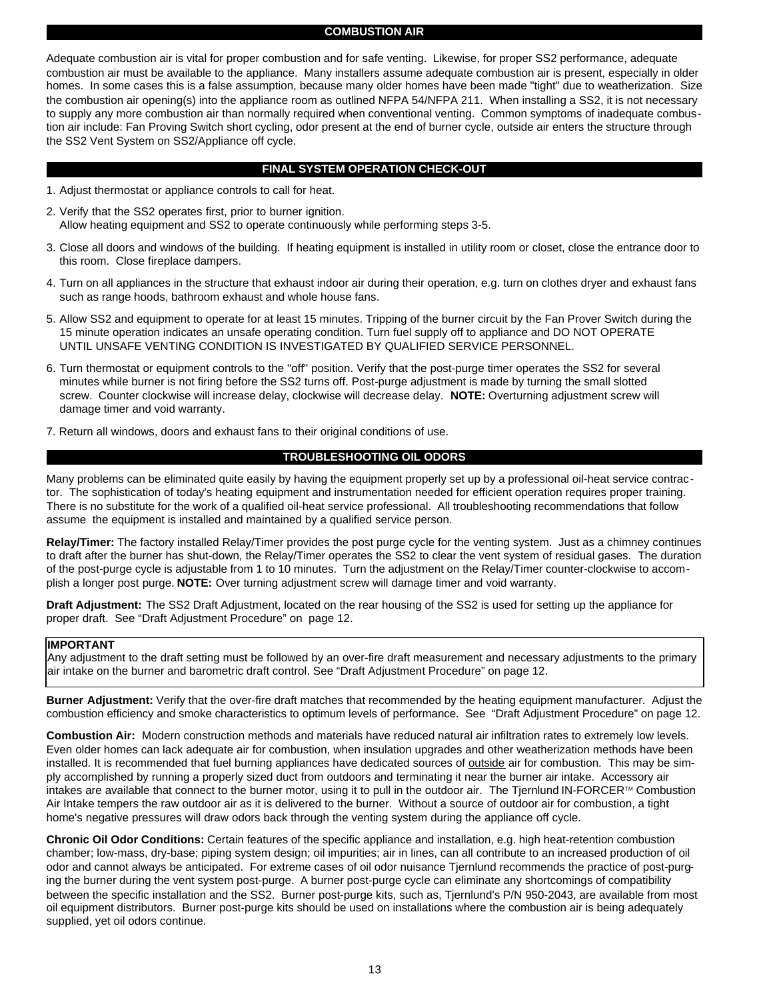## **COMBUSTION AIR**

Adequate combustion air is vital for proper combustion and for safe venting. Likewise, for proper SS2 performance, adequate combustion air must be available to the appliance. Many installers assume adequate combustion air is present, especially in older homes. In some cases this is a false assumption, because many older homes have been made "tight" due to weatherization. Size the combustion air opening(s) into the appliance room as outlined NFPA 54/NFPA 211. When installing a SS2, it is not necessary to supply any more combustion air than normally required when conventional venting. Common symptoms of inadequate combustion air include: Fan Proving Switch short cycling, odor present at the end of burner cycle, outside air enters the structure through the SS2 Vent System on SS2/Appliance off cycle.

## **FINAL SYSTEM OPERATION CHECK-OUT**

- 1. Adjust thermostat or appliance controls to call for heat.
- 2. Verify that the SS2 operates first, prior to burner ignition. Allow heating equipment and SS2 to operate continuously while performing steps 3-5.
- 3. Close all doors and windows of the building. If heating equipment is installed in utility room or closet, close the entrance door to this room. Close fireplace dampers.
- 4. Turn on all appliances in the structure that exhaust indoor air during their operation, e.g. turn on clothes dryer and exhaust fans such as range hoods, bathroom exhaust and whole house fans.
- 5. Allow SS2 and equipment to operate for at least 15 minutes. Tripping of the burner circuit by the Fan Prover Switch during the 15 minute operation indicates an unsafe operating condition. Turn fuel supply off to appliance and DO NOT OPERATE UNTIL UNSAFE VENTING CONDITION IS INVESTIGATED BY QUALIFIED SERVICE PERSONNEL.
- 6. Turn thermostat or equipment controls to the "off" position. Verify that the post-purge timer operates the SS2 for several minutes while burner is not firing before the SS2 turns off. Post-purge adjustment is made by turning the small slotted screw. Counter clockwise will increase delay, clockwise will decrease delay. **NOTE:** Overturning adjustment screw will damage timer and void warranty.
- 7. Return all windows, doors and exhaust fans to their original conditions of use.

## **TROUBLESHOOTING OIL ODORS**

Many problems can be eliminated quite easily by having the equipment properly set up by a professional oil-heat service contractor. The sophistication of today's heating equipment and instrumentation needed for efficient operation requires proper training. There is no substitute for the work of a qualified oil-heat service professional. All troubleshooting recommendations that follow assume the equipment is installed and maintained by a qualified service person.

**Relay/Timer:** The factory installed Relay/Timer provides the post purge cycle for the venting system. Just as a chimney continues to draft after the burner has shut-down, the Relay/Timer operates the SS2 to clear the vent system of residual gases. The duration of the post-purge cycle is adjustable from 1 to 10 minutes. Turn the adjustment on the Relay/Timer counter-clockwise to accomplish a longer post purge. **NOTE:** Over turning adjustment screw will damage timer and void warranty.

**Draft Adjustment:** The SS2 Draft Adjustment, located on the rear housing of the SS2 is used for setting up the appliance for proper draft. See "Draft Adjustment Procedure" on page 12.

## **IMPORTANT**

Any adjustment to the draft setting must be followed by an over-fire draft measurement and necessary adjustments to the primary air intake on the burner and barometric draft control. See "Draft Adjustment Procedure" on page 12.

**Burner Adjustment:** Verify that the over-fire draft matches that recommended by the heating equipment manufacturer. Adjust the combustion efficiency and smoke characteristics to optimum levels of performance. See "Draft Adjustment Procedure" on page 12.

**Combustion Air:** Modern construction methods and materials have reduced natural air infiltration rates to extremely low levels. Even older homes can lack adequate air for combustion, when insulation upgrades and other weatherization methods have been installed. It is recommended that fuel burning appliances have dedicated sources of outside air for combustion. This may be simply accomplished by running a properly sized duct from outdoors and terminating it near the burner air intake. Accessory air intakes are available that connect to the burner motor, using it to pull in the outdoor air. The Tjernlund IN-FORCER™ Combustion Air Intake tempers the raw outdoor air as it is delivered to the burner. Without a source of outdoor air for combustion, a tight home's negative pressures will draw odors back through the venting system during the appliance off cycle.

**Chronic Oil Odor Conditions:** Certain features of the specific appliance and installation, e.g. high heat-retention combustion chamber; low-mass, dry-base; piping system design; oil impurities; air in lines, can all contribute to an increased production of oil odor and cannot always be anticipated. For extreme cases of oil odor nuisance Tjernlund recommends the practice of post-purging the burner during the vent system post-purge. A burner post-purge cycle can eliminate any shortcomings of compatibility between the specific installation and the SS2. Burner post-purge kits, such as, Tjernlund's P/N 950-2043, are available from most oil equipment distributors. Burner post-purge kits should be used on installations where the combustion air is being adequately supplied, yet oil odors continue.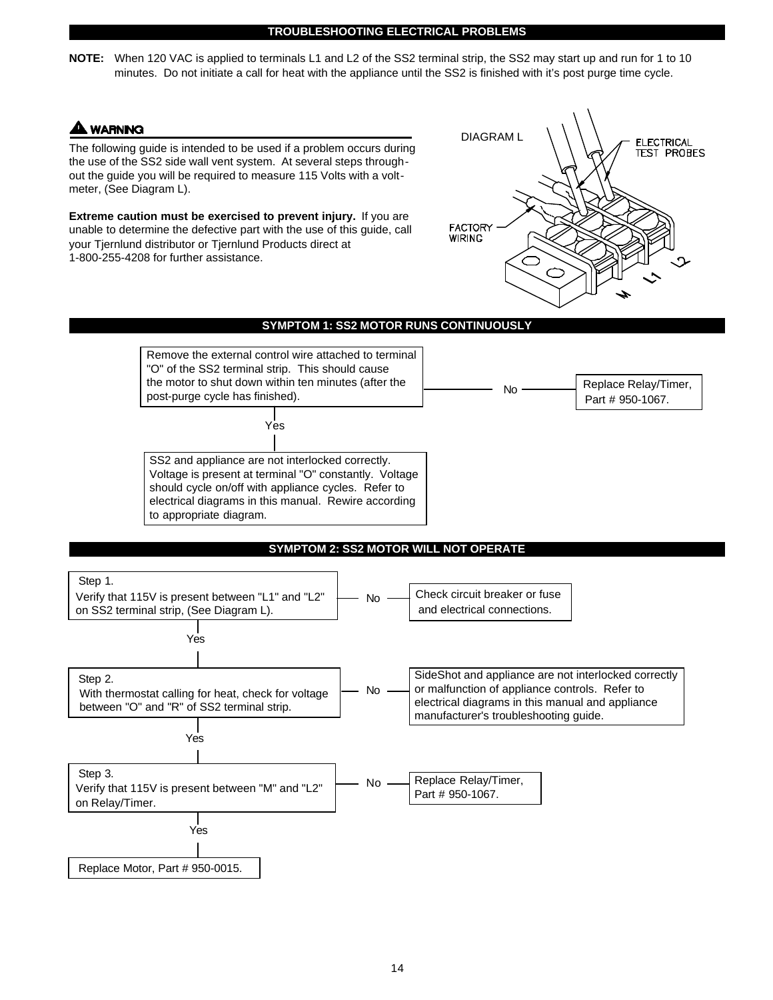#### **TROUBLESHOOTING ELECTRICAL PROBLEMS**

**NOTE:** When 120 VAC is applied to terminals L1 and L2 of the SS2 terminal strip, the SS2 may start up and run for 1 to 10 minutes. Do not initiate a call for heat with the appliance until the SS2 is finished with it's post purge time cycle.

## **A WARNING**

The following guide is intended to be used if a problem occurs during the use of the SS2 side wall vent system. At several steps throughout the guide you will be required to measure 115 Volts with a voltmeter, (See Diagram L).

**Extreme caution must be exercised to prevent injury.** If you are unable to determine the defective part with the use of this guide, call your Tjernlund distributor or Tjernlund Products direct at 1-800-255-4208 for further assistance.



## **SYMPTOM 1: SS2 MOTOR RUNS CONTINUOUSLY**



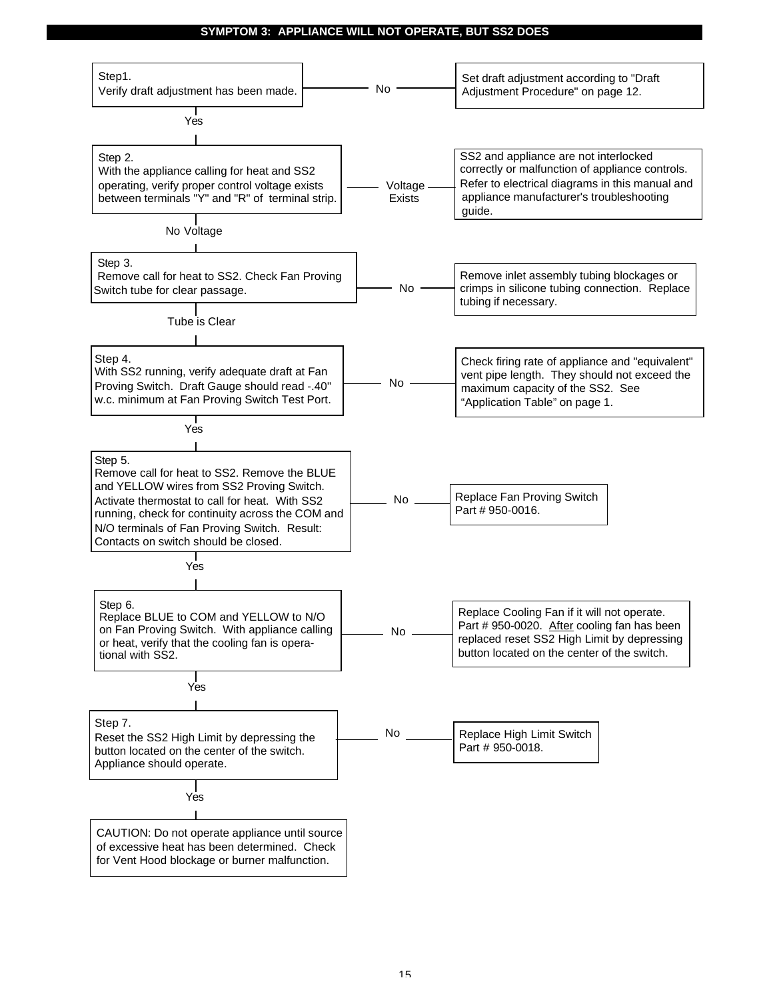## **SYMPTOM 3: APPLIANCE WILL NOT OPERATE, BUT SS2 DOES**

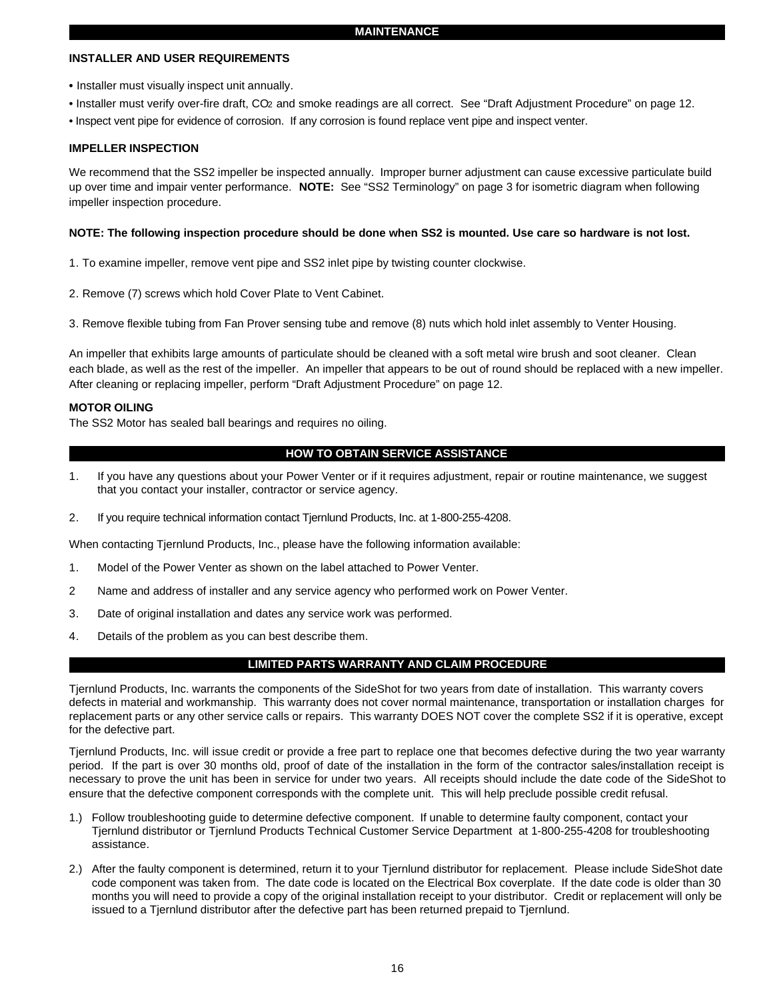## **INSTALLER AND USER REQUIREMENTS**

- Installer must visually inspect unit annually.
- Installer must verify over-fire draft, CO2 and smoke readings are all correct. See "Draft Adjustment Procedure" on page 12.
- Inspect vent pipe for evidence of corrosion. If any corrosion is found replace vent pipe and inspect venter.

## **IMPELLER INSPECTION**

We recommend that the SS2 impeller be inspected annually. Improper burner adjustment can cause excessive particulate build up over time and impair venter performance. **NOTE:** See "SS2 Terminology" on page 3 for isometric diagram when following impeller inspection procedure.

## **NOTE: The following inspection procedure should be done when SS2 is mounted. Use care so hardware is not lost.**

- 1. To examine impeller, remove vent pipe and SS2 inlet pipe by twisting counter clockwise.
- 2. Remove (7) screws which hold Cover Plate to Vent Cabinet.
- 3. Remove flexible tubing from Fan Prover sensing tube and remove (8) nuts which hold inlet assembly to Venter Housing.

An impeller that exhibits large amounts of particulate should be cleaned with a soft metal wire brush and soot cleaner. Clean each blade, as well as the rest of the impeller. An impeller that appears to be out of round should be replaced with a new impeller. After cleaning or replacing impeller, perform "Draft Adjustment Procedure" on page 12.

## **MOTOR OILING**

The SS2 Motor has sealed ball bearings and requires no oiling.

## **HOW TO OBTAIN SERVICE ASSISTANCE**

- 1. If you have any questions about your Power Venter or if it requires adjustment, repair or routine maintenance, we suggest that you contact your installer, contractor or service agency.
- 2. If you require technical information contact Tjernlund Products, Inc. at 1-800-255-4208.

When contacting Tjernlund Products, Inc., please have the following information available:

- 1. Model of the Power Venter as shown on the label attached to Power Venter.
- 2 Name and address of installer and any service agency who performed work on Power Venter.
- 3. Date of original installation and dates any service work was performed.
- 4. Details of the problem as you can best describe them.

## **LIMITED PARTS WARRANTY AND CLAIM PROCEDURE**

Tjernlund Products, Inc. warrants the components of the SideShot for two years from date of installation. This warranty covers defects in material and workmanship. This warranty does not cover normal maintenance, transportation or installation charges for replacement parts or any other service calls or repairs. This warranty DOES NOT cover the complete SS2 if it is operative, except for the defective part.

Tjernlund Products, Inc. will issue credit or provide a free part to replace one that becomes defective during the two year warranty period. If the part is over 30 months old, proof of date of the installation in the form of the contractor sales/installation receipt is necessary to prove the unit has been in service for under two years. All receipts should include the date code of the SideShot to ensure that the defective component corresponds with the complete unit. This will help preclude possible credit refusal.

- 1.) Follow troubleshooting guide to determine defective component. If unable to determine faulty component, contact your Tjernlund distributor or Tjernlund Products Technical Customer Service Department at 1-800-255-4208 for troubleshooting assistance.
- 2.) After the faulty component is determined, return it to your Tjernlund distributor for replacement. Please include SideShot date code component was taken from. The date code is located on the Electrical Box coverplate. If the date code is older than 30 months you will need to provide a copy of the original installation receipt to your distributor. Credit or replacement will only be issued to a Tjernlund distributor after the defective part has been returned prepaid to Tjernlund.